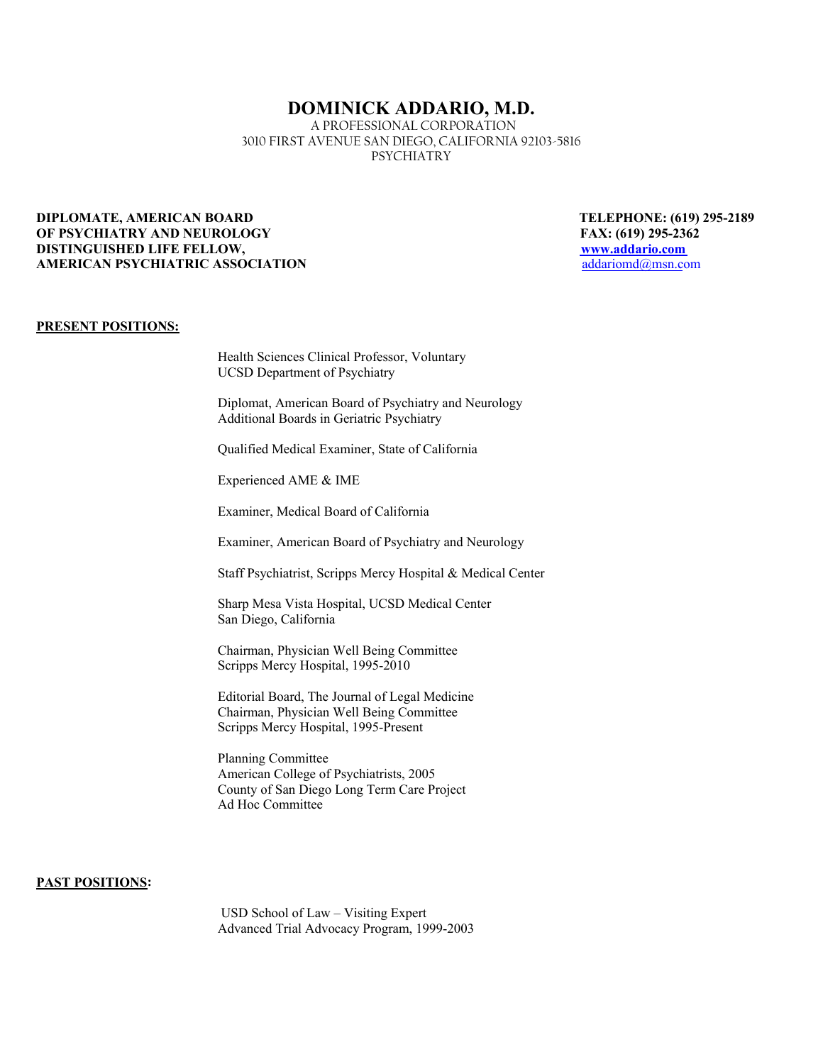# **DOMINICK ADDARIO, M.D.**

A PROFESSIONAL CORPORATION 3010 FIRST AVENUE SAN DIEGO, CALIFORNIA 92103-5816 PSYCHIATRY

## **DIPLOMATE, AMERICAN BOARD TELEPHONE: (619) 295-2189 OF PSYCHIATRY AND NEUROLOGY FAX: (619) 295-2362 DISTINGUISHED LIFE FELLOW, www.addario.com AMERICAN PSYCHIATRIC ASSOCIATION**

## **PRESENT POSITIONS:**

Health Sciences Clinical Professor, Voluntary UCSD Department of Psychiatry

Diplomat, American Board of Psychiatry and Neurology Additional Boards in Geriatric Psychiatry

Qualified Medical Examiner, State of California

Experienced AME & IME

Examiner, Medical Board of California

Examiner, American Board of Psychiatry and Neurology

Staff Psychiatrist, Scripps Mercy Hospital & Medical Center

Sharp Mesa Vista Hospital, UCSD Medical Center San Diego, California

Chairman, Physician Well Being Committee Scripps Mercy Hospital, 1995-2010

Editorial Board, The Journal of Legal Medicine Chairman, Physician Well Being Committee Scripps Mercy Hospital, 1995-Present

Planning Committee American College of Psychiatrists, 2005 County of San Diego Long Term Care Project Ad Hoc Committee

## **PAST POSITIONS:**

USD School of Law – Visiting Expert Advanced Trial Advocacy Program, 1999-2003